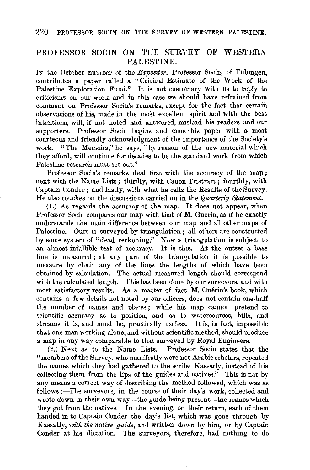## PROFESSOR SOCIN ON THE SURVEY OF WESTERN. PALESTINE.

In the October number of the *Expositor*, Professor Socin, of Tübingen, contributes a paper called a "Critical Estimate of the Work of the Palestine Exploration Fund." It is not customary with us to reply to criticisms on our work, and in this case we should have refrained from comment on Professor Socin's remarks, except for the fact that certain observations of his, made in the most excellent spirit and with the best intentions, will, if not noted and answered, mislead his readers and our supporters. Professor Socin begins and ends his paper with a most courteous and friendly acknowledgment of the importance of the Society's work. "The Memoirs," he says, "by reason of the new material which they afford, will continue for decades to be the standard work from which Palestine research must set out."

Professor Socin's remarks deal first with the accuracy of the map ; next with the Name Lists; thirdly, with Canon Tristram; fourthly, with Captain Conder ; and lastly, with what he calls the Results of the Survey. He also touches on the discussions carried on in the *Quarterly Statement.* 

(1.) As regards the accuracy of the map. It does not appear, when Professor Socin compares our map with that of M. Guérin, as if he exactly understands the main difference between our map and all other maps of Palestine. Ours is surveyed by triangulation ; all others are constructed by some system of "dead reckoning.'' Now a triangulation is subject to an almost infallible test of accuracy. It is this. At the outset a base line is measured ; at any part of the triangulation it is possible to measure by chain any of the lines the lengths of which have been obtained by calculation. The actual measured length should correspond with the calculated length. This has been done by our surveyors, and with most satisfactory results. As a matter of fact M. Guérin's book, which contains a few details not noted by our officers, does not contain one-half the number of names and places ; while his map cannot pretend to scientific accuracy as to position, and as to watercourses, hills, and streams it is, and must be, practically useless. It is, in fact, impossible that one man working alone, and without scientific method, should produce a map in any way comparable to that surveyed by Royal Engineers.

(2.) Next as to the Name Lists. Professor Socin states that the "members of the Survey, who manifestly were not Arabic scholars, repeated the names which they had gathered to the scribe Kassatly, instead of his collecting them from the lips of the guides and natives." This is not by any means a correct way of describing the method followed, which was as follows :- The surveyors, in the course of their day's work, collected and wrote down in their own way—the guide being present—the names which they got from the natives. In the evening, on their return, each of them handed in to Captain Conder the day's list, which was gone through by Kassatly, with the native guide, and written down by him, or by Captain Conder at his dictation. The surveyors, therefore, had nothing to do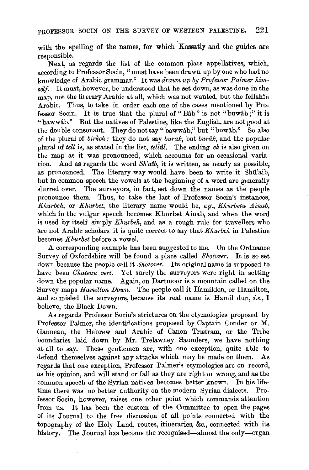with the spelling of the names, for which Kassatly and the guides are responsible.

Next, as regards the list of the common place appellatives, which, according to Professor Socin, "must have been drawn up by one who had no knowledge of Arabic grammar." It was *drawn up by Professor Palmer him*self. It must, however, be understood that he set down, as was done in the map, not the literary Arabic at all, which was not wanted, but the fellahin Arabic. Thus, to take in order each one of the cases mentioned by Professor Socin. It is true that the plural of "Bâb" is not "buwâb;" it is "bawwab." But the natives of Palestine, like the English, are not good at the double consonant. They do not say "bawwab," but "buwab." So also of the plural of *birkeh:* they do not say *buralc,* but *buruk,* and the popular plural of *tell* is, as stated in the list, *tell-al.* The ending *eh* is also given on the map as it was pronounced, which accounts for an occasional variation. And as regards the word *Sh'atb,* it is written, as nearly as possible, as pronounced. The literary way would have been to write it Shu'aib, but in common speech the vowels at the beginning of a word are generally slurred over. The surveyors, in fact, set down the names as the people pronounce them. Thus, to take the last of Professor Socin's instances, *Khurbeh,* or *Khurbet,* the literary name would be, *e.g., Khurbetu A inab,*  which in the vulgar speech becomes Khurbet Ainab, and when the word is used by itself simply *Khurbeh,* and as a rough rule for travellers who are not Arabic scholars it is quite correct to say that *Khurbeh* in Palestine becomes *Khurbet* before a vowel.

A corresponding example has been suggested to me. On the Ordnance Survey of Oxfordshire will be found a place called *Shotover.* It is so set down because the people call it *Shotover.* Its original name is supposed to have been *Chateau vert*. Yet surely the surveyors were right in setting down the popular name. Again, on Dartmoor is a mountain called on the Survey maps *Hamilton Down.* The people call it Hamildon, or Hamilton, and so misled the surveyors, because its real name is Hamil dun, *i.e.*, I believe, the Black Down.

.As regards Professor Socin's strictures on the etymologies proposed by Professor Palmer, the identifications proposed by Captain Conder or M. Ganneau, the Hebrew and Arabic of Canon Tristram, or the Tribe boundaries laid down by Mr. Trelawney Saunders, we have nothing at all to say. These gentlemen are, with one exception, quite able to defend themselves against any attacks which may be made on them. As regards that one exception, Professor Palmer's etymologies are on record, as his opinion, and will stand or fall as they are right or wrong, and as the common speech of the Syrian natives becomes better known. In his lifetime there was no better authority on the modern Syrian dialects. Professor Socin, however, raises one other point which commands attention from us. It has been the custom of the Committee to open the pages of its Journal to the free discussion of all points connected with the topography of the Holy Land, routes, itineraries, &c., connected with its history. The Journal has become the recognised-almost the only-organ